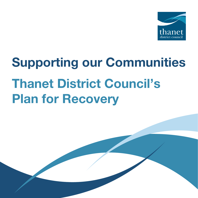

# Supporting our Communities Thanet District Council's Plan for Recovery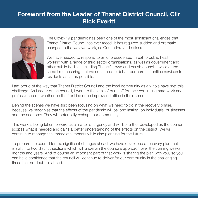## Foreword from the Leader of Thanet District Council, Cllr Rick Everitt



The Covid-19 pandemic has been one of the most significant challenges that Thanet District Council has ever faced. It has required sudden and dramatic changes to the way we work, as Councillors and officers.

We have needed to respond to an unprecedented threat to public health, working with a range of third sector organisations, as well as government and other public bodies, including Thanet's town and parish councils, while at the same time ensuring that we continued to deliver our normal frontline services to residents as far as possible.

I am proud of the way that Thanet District Council and the local community as a whole have met this challenge. As Leader of the council, I want to thank all of our staff for their continuing hard work and professionalism, whether on the frontline or an improvised office in their home.

Behind the scenes we have also been focusing on what we need to do in the recovery phase, because we recognise that the effects of the pandemic will be long lasting, on individuals, businesses and the economy. They will potentially reshape our community.

This work is being taken forward as a matter of urgency and will be further developed as the council scopes what is needed and gains a better understanding of the effects on the district. We will continue to manage the immediate impacts while also planning for the future.

To prepare the council for the significant changes ahead, we have developed a recovery plan that is split into two distinct sections which will underpin the council's approach over the coming weeks, months and years. And of course an important part of that work is sharing the plan with you, so you can have confidence that the council will continue to deliver for our community in the challenging times that no doubt lie ahead.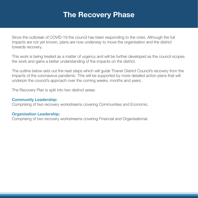# The Recovery Phase

Since the outbreak of COVID-19 the council has been responding to the crisis. Although the full impacts are not yet known, plans are now underway to move the organisation and the district towards recovery.

This work is being treated as a matter of urgency and will be further developed as the council scopes the work and gains a better understanding of the impacts on the district.

The outline below sets out the next steps which will guide Thanet District Council's recovery from the impacts of the coronavirus pandemic. This will be supported by more detailed action plans that will underpin the council's approach over the coming weeks, months and years.

The Recovery Plan is split into two distinct areas:

#### Community Leadership:

Comprising of two recovery workstreams covering Communities and Economic.

#### Organisation Leadership:

Comprising of two recovery workstreams covering Financial and Organisational.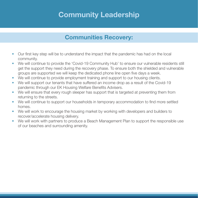# Community Leadership

### Communities Recovery:

- Our first key step will be to understand the impact that the pandemic has had on the local community.
- We will continue to provide the 'Covid-19 Community Hub' to ensure our vulnerable residents still get the support they need during the recovery phase. To ensure both the shielded and vulnerable groups are supported we will keep the dedicated phone line open five days a week.
- We will continue to provide employment training and support to our housing clients.
- We will support our tenants that have suffered an income drop as a result of the Covid-19 pandemic through our EK Housing Welfare Benefits Advisers.
- We will ensure that every rough sleeper has support that is targeted at preventing them from returning to the streets.
- We will continue to support our households in temporary accommodation to find more settled homes.
- We will work to encourage the housing market by working with developers and builders to recover/accelerate housing delivery.
- We will work with partners to produce a Beach Management Plan to support the responsible use of our beaches and surrounding amenity.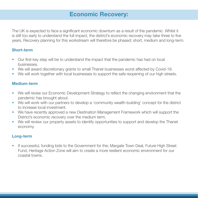## Economic Recovery:

The UK is expected to face a significant economic downturn as a result of the pandemic. Whilst it is still too early to understand the full impact, the district's economic recovery may take three to five years. Recovery planning for this workstream will therefore be phased; short, medium and long-term.

#### Short-term

- Our first key step will be to understand the impact that the pandemic has had on local businesses.
- We will award discretionary grants to small Thanet businesses worst affected by Covid-19.
- We will work together with local businesses to support the safe reopening of our high streets.

#### Medium-term

- We will revise our Economic Development Strategy to reflect the changing environment that the pandemic has brought about.
- We will work with our partners to develop a 'community wealth-building' concept for the district to increase local investment.
- We have recently approved a new Destination Management Framework which will support the District's economic recovery over the medium term.
- We will review our property assets to identify opportunities to support and develop the Thanet economy.

#### Long-term

If successful, funding bids to the Government for the; Margate Town Deal, Future High Street Fund, Heritage Action Zone will aim to create a more resilient economic environment for our coastal towns.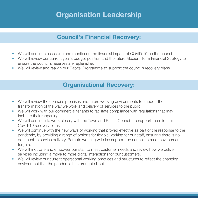# Organisation Leadership

## Council's Financial Recovery:

- We will continue assessing and monitoring the financial impact of COVID 19 on the council.
- We will review our current year's budget position and the future Medium Term Financial Strategy to ensure the council's reserves are replenished.
- We will review and realign our Capital Programme to support the council's recovery plans.

## Organisational Recovery:

- We will review the council's premises and future working environments to support the transformation of the way we work and delivery of services to the public.
- We will work with our commercial tenants to facilitate compliance with regulations that may facilitate their reopening.
- We will continue to work closely with the Town and Parish Councils to support them in their Covid-19 recovery plans.
- We will continue with the new ways of working that proved effective as part of the response to the pandemic, by providing a range of options for flexible working for our staff, ensuring there is no detriment to service delivery. Remote working will also support the council to meet environmental targets.
- We will motivate and empower our staff to meet customer needs and review how we deliver services including a move to more digital interactions for our customers.
- We will review our current operational working practices and structures to reflect the changing environment that the pandemic has brought about.